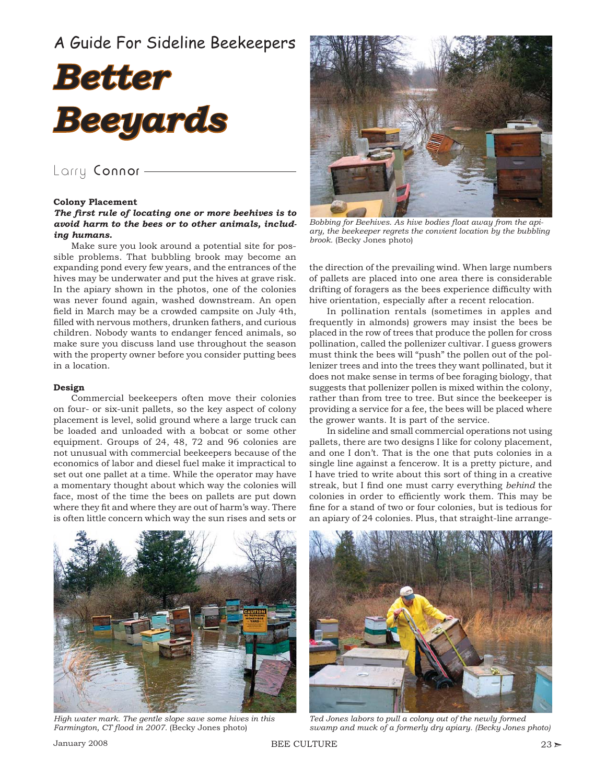# A Guide For Sideline Beekeepers



## Larry Connor -

#### **Colony Placement**

### The first rule of locating one or more beehives is to *avoid harm to the bees or to other animals, including humans.*

Make sure you look around a potential site for possible problems. That bubbling brook may become an expanding pond every few years, and the entrances of the hives may be underwater and put the hives at grave risk. In the apiary shown in the photos, one of the colonies was never found again, washed downstream. An open field in March may be a crowded campsite on July 4th, filled with nervous mothers, drunken fathers, and curious children. Nobody wants to endanger fenced animals, so make sure you discuss land use throughout the season with the property owner before you consider putting bees in a location.

#### **Design**

Commercial beekeepers often move their colonies on four- or six-unit pallets, so the key aspect of colony placement is level, solid ground where a large truck can be loaded and unloaded with a bobcat or some other equipment. Groups of 24, 48, 72 and 96 colonies are not unusual with commercial beekeepers because of the economics of labor and diesel fuel make it impractical to set out one pallet at a time. While the operator may have a momentary thought about which way the colonies will face, most of the time the bees on pallets are put down where they fit and where they are out of harm's way. There is often little concern which way the sun rises and sets or



Bobbing for Beehives. As hive bodies float away from the api*ary, the beekeeper regrets the convient location by the bubbling brook.* (Becky Jones photo)

the direction of the prevailing wind. When large numbers of pallets are placed into one area there is considerable drifting of foragers as the bees experience difficulty with hive orientation, especially after a recent relocation.

In pollination rentals (sometimes in apples and frequently in almonds) growers may insist the bees be placed in the row of trees that produce the pollen for cross pollination, called the pollenizer cultivar. I guess growers must think the bees will "push" the pollen out of the pollenizer trees and into the trees they want pollinated, but it does not make sense in terms of bee foraging biology, that suggests that pollenizer pollen is mixed within the colony, rather than from tree to tree. But since the beekeeper is providing a service for a fee, the bees will be placed where the grower wants. It is part of the service.

In sideline and small commercial operations not using pallets, there are two designs I like for colony placement, and one I don't. That is the one that puts colonies in a single line against a fencerow. It is a pretty picture, and I have tried to write about this sort of thing in a creative streak, but I find one must carry everything *behind* the colonies in order to efficiently work them. This may be fine for a stand of two or four colonies, but is tedious for an apiary of 24 colonies. Plus, that straight-line arrange-



*High water mark. The gentle slope save some hives in this*  Farmington, CT flood in 2007. (Becky Jones photo)



*Ted Jones labors to pull a colony out of the newly formed swamp and muck of a formerly dry apiary. (Becky Jones photo)*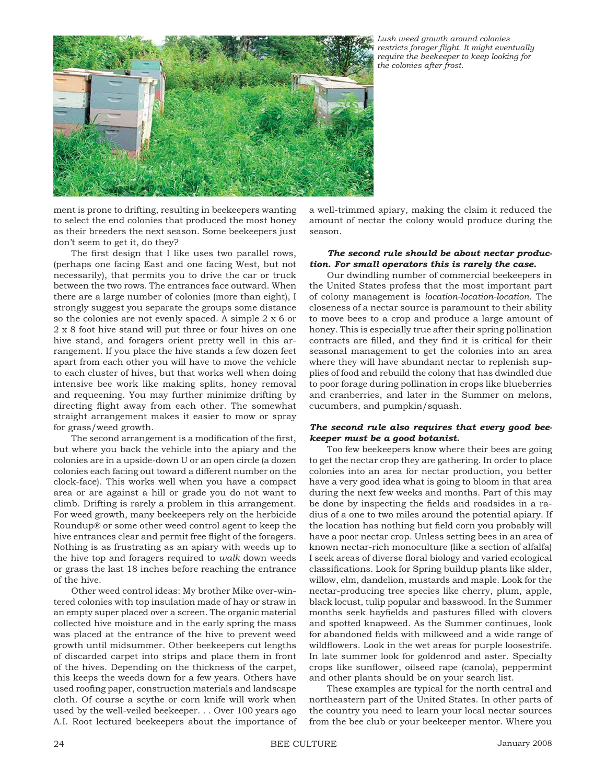

*Lush weed growth around colonies restricts forager fl ight. It might eventually require the beekeeper to keep looking for the colonies after frost.*

ment is prone to drifting, resulting in beekeepers wanting to select the end colonies that produced the most honey as their breeders the next season. Some beekeepers just don't seem to get it, do they?

The first design that I like uses two parallel rows, (perhaps one facing East and one facing West, but not necessarily), that permits you to drive the car or truck between the two rows. The entrances face outward. When there are a large number of colonies (more than eight), I strongly suggest you separate the groups some distance so the colonies are not evenly spaced. A simple 2 x 6 or 2 x 8 foot hive stand will put three or four hives on one hive stand, and foragers orient pretty well in this arrangement. If you place the hive stands a few dozen feet apart from each other you will have to move the vehicle to each cluster of hives, but that works well when doing intensive bee work like making splits, honey removal and requeening. You may further minimize drifting by directing flight away from each other. The somewhat straight arrangement makes it easier to mow or spray for grass/weed growth.

The second arrangement is a modification of the first, but where you back the vehicle into the apiary and the colonies are in a upside-down U or an open circle (a dozen colonies each facing out toward a different number on the clock-face). This works well when you have a compact area or are against a hill or grade you do not want to climb. Drifting is rarely a problem in this arrangement. For weed growth, many beekeepers rely on the herbicide Roundup® or some other weed control agent to keep the hive entrances clear and permit free flight of the foragers. Nothing is as frustrating as an apiary with weeds up to the hive top and foragers required to *walk* down weeds or grass the last 18 inches before reaching the entrance of the hive.

Other weed control ideas: My brother Mike over-wintered colonies with top insulation made of hay or straw in an empty super placed over a screen. The organic material collected hive moisture and in the early spring the mass was placed at the entrance of the hive to prevent weed growth until midsummer. Other beekeepers cut lengths of discarded carpet into strips and place them in front of the hives. Depending on the thickness of the carpet, this keeps the weeds down for a few years. Others have used roofing paper, construction materials and landscape cloth. Of course a scythe or corn knife will work when used by the well-veiled beekeeper. . . Over 100 years ago A.I. Root lectured beekeepers about the importance of

a well-trimmed apiary, making the claim it reduced the amount of nectar the colony would produce during the season.

### *The second rule should be about nectar production. For small operators this is rarely the case.*

Our dwindling number of commercial beekeepers in the United States profess that the most important part of colony management is *location-location-location*. The closeness of a nectar source is paramount to their ability to move bees to a crop and produce a large amount of honey. This is especially true after their spring pollination contracts are filled, and they find it is critical for their seasonal management to get the colonies into an area where they will have abundant nectar to replenish supplies of food and rebuild the colony that has dwindled due to poor forage during pollination in crops like blueberries and cranberries, and later in the Summer on melons, cucumbers, and pumpkin/squash.

### *The second rule also requires that every good beekeeper must be a good botanist.*

Too few beekeepers know where their bees are going to get the nectar crop they are gathering. In order to place colonies into an area for nectar production, you better have a very good idea what is going to bloom in that area during the next few weeks and months. Part of this may be done by inspecting the fields and roadsides in a radius of a one to two miles around the potential apiary. If the location has nothing but field corn you probably will have a poor nectar crop. Unless setting bees in an area of known nectar-rich monoculture (like a section of alfalfa) I seek areas of diverse floral biology and varied ecological classifications. Look for Spring buildup plants like alder, willow, elm, dandelion, mustards and maple. Look for the nectar-producing tree species like cherry, plum, apple, black locust, tulip popular and basswood. In the Summer months seek hayfields and pastures filled with clovers and spotted knapweed. As the Summer continues, look for abandoned fields with milkweed and a wide range of wildflowers. Look in the wet areas for purple loosestrife. In late summer look for goldenrod and aster. Specialty crops like sunflower, oilseed rape (canola), peppermint and other plants should be on your search list.

These examples are typical for the north central and northeastern part of the United States. In other parts of the country you need to learn your local nectar sources from the bee club or your beekeeper mentor. Where you